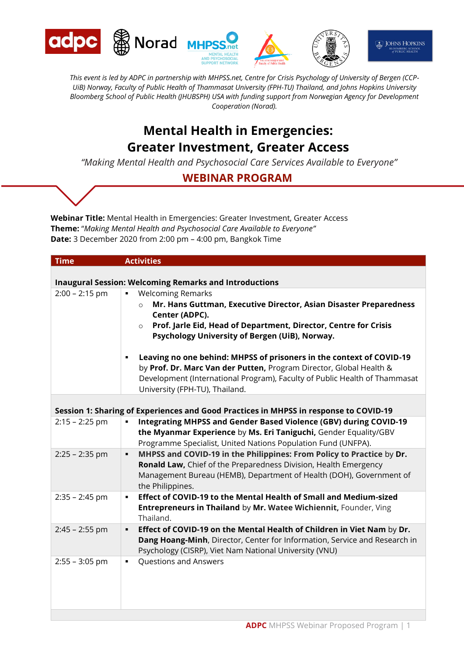

*This event is led by ADPC in partnership with MHPSS.net, Centre for Crisis Psychology of University of Bergen (CCP-UiB) Norway, Faculty of Public Health of Thammasat University (FPH-TU) Thailand, and Johns Hopkins University Bloomberg School of Public Health (JHUBSPH) USA with funding support from Norwegian Agency for Development Cooperation (Norad).*

# **Mental Health in Emergencies: Greater Investment, Greater Access**

*"Making Mental Health and Psychosocial Care Services Available to Everyone"*

## **WEBINAR PROGRAM**

**Webinar Title:** Mental Health in Emergencies: Greater Investment, Greater Access **Theme:** "*Making Mental Health and Psychosocial Care Available to Everyone"* **Date:** 3 December 2020 from 2:00 pm – 4:00 pm, Bangkok Time

| <b>Time</b>      | <b>Activities</b>                                                                     |
|------------------|---------------------------------------------------------------------------------------|
|                  |                                                                                       |
|                  | <b>Inaugural Session: Welcoming Remarks and Introductions</b>                         |
| $2:00 - 2:15$ pm | <b>Welcoming Remarks</b><br>٠                                                         |
|                  | Mr. Hans Guttman, Executive Director, Asian Disaster Preparedness<br>$\Omega$         |
|                  | Center (ADPC).                                                                        |
|                  | Prof. Jarle Eid, Head of Department, Director, Centre for Crisis<br>$\circ$           |
|                  | Psychology University of Bergen (UiB), Norway.                                        |
|                  | Leaving no one behind: MHPSS of prisoners in the context of COVID-19<br>٠             |
|                  | by Prof. Dr. Marc Van der Putten, Program Director, Global Health &                   |
|                  | Development (International Program), Faculty of Public Health of Thammasat            |
|                  | University (FPH-TU), Thailand.                                                        |
|                  |                                                                                       |
|                  | Session 1: Sharing of Experiences and Good Practices in MHPSS in response to COVID-19 |
| $2:15 - 2:25$ pm | Integrating MHPSS and Gender Based Violence (GBV) during COVID-19<br>Ξ                |
|                  | the Myanmar Experience by Ms. Eri Taniguchi, Gender Equality/GBV                      |
|                  | Programme Specialist, United Nations Population Fund (UNFPA).                         |
| $2:25 - 2:35$ pm | MHPSS and COVID-19 in the Philippines: From Policy to Practice by Dr.<br>٠            |
|                  | Ronald Law, Chief of the Preparedness Division, Health Emergency                      |
|                  |                                                                                       |
|                  | Management Bureau (HEMB), Department of Health (DOH), Government of                   |
|                  | the Philippines.<br>Effect of COVID-19 to the Mental Health of Small and Medium-sized |
| $2:35 - 2:45$ pm | ٠                                                                                     |
|                  | Entrepreneurs in Thailand by Mr. Watee Wichiennit, Founder, Ving                      |
|                  | Thailand.                                                                             |
| $2:45 - 2:55$ pm | Effect of COVID-19 on the Mental Health of Children in Viet Nam by Dr.<br>٠           |
|                  | Dang Hoang-Minh, Director, Center for Information, Service and Research in            |
|                  | Psychology (CISRP), Viet Nam National University (VNU)                                |
| $2:55 - 3:05$ pm | Questions and Answers<br>٠                                                            |
|                  |                                                                                       |
|                  |                                                                                       |
|                  |                                                                                       |
|                  |                                                                                       |
|                  |                                                                                       |